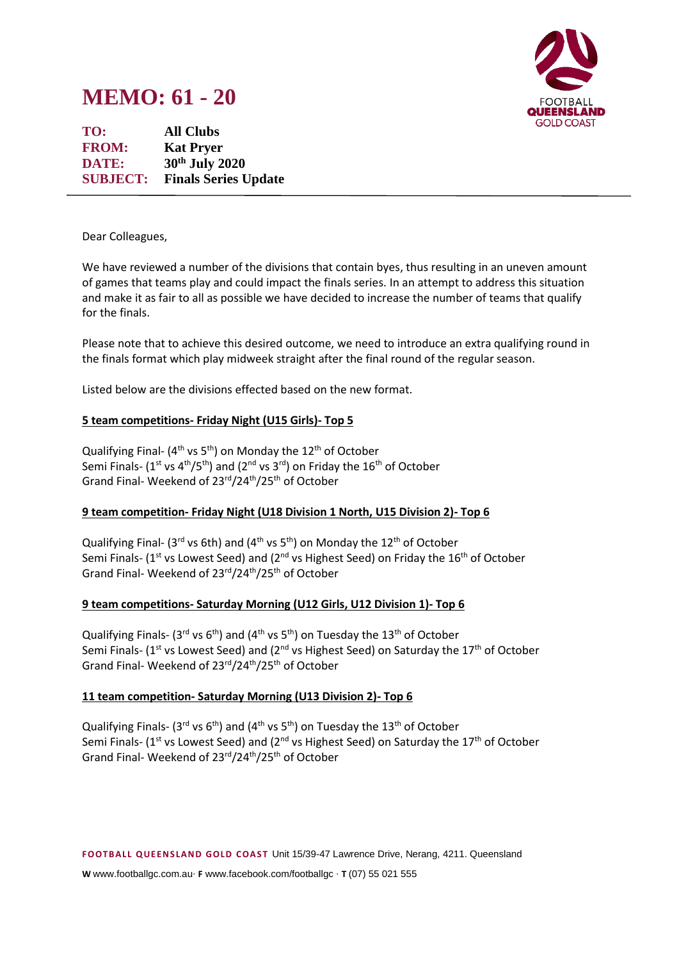# **MEMO: 61 - 20**



**TO: All Clubs FROM: Kat Pryer DATE: 30th July 2020 SUBJECT: Finals Series Update**

Dear Colleagues,

We have reviewed a number of the divisions that contain byes, thus resulting in an uneven amount of games that teams play and could impact the finals series. In an attempt to address this situation and make it as fair to all as possible we have decided to increase the number of teams that qualify for the finals.

Please note that to achieve this desired outcome, we need to introduce an extra qualifying round in the finals format which play midweek straight after the final round of the regular season.

Listed below are the divisions effected based on the new format.

### **5 team competitions- Friday Night (U15 Girls)- Top 5**

Qualifying Final- (4<sup>th</sup> vs 5<sup>th</sup>) on Monday the 12<sup>th</sup> of October Semi Finals- ( $1^{st}$  vs  $4^{th}/5^{th}$ ) and ( $2^{nd}$  vs  $3^{rd}$ ) on Friday the  $16^{th}$  of October Grand Final- Weekend of 23rd/24th/25th of October

### **9 team competition- Friday Night (U18 Division 1 North, U15 Division 2)- Top 6**

Qualifying Final- (3<sup>rd</sup> vs 6th) and (4<sup>th</sup> vs 5<sup>th</sup>) on Monday the 12<sup>th</sup> of October Semi Finals- ( $1<sup>st</sup>$  vs Lowest Seed) and ( $2<sup>nd</sup>$  vs Highest Seed) on Friday the  $16<sup>th</sup>$  of October Grand Final- Weekend of 23rd/24th/25th of October

### **9 team competitions- Saturday Morning (U12 Girls, U12 Division 1)- Top 6**

Qualifying Finals- (3rd vs 6<sup>th</sup>) and (4<sup>th</sup> vs 5<sup>th</sup>) on Tuesday the 13<sup>th</sup> of October Semi Finals- ( $1<sup>st</sup>$  vs Lowest Seed) and ( $2<sup>nd</sup>$  vs Highest Seed) on Saturday the  $17<sup>th</sup>$  of October Grand Final- Weekend of 23rd/24th/25th of October

### **11 team competition- Saturday Morning (U13 Division 2)- Top 6**

Qualifying Finals- (3<sup>rd</sup> vs 6<sup>th</sup>) and (4<sup>th</sup> vs 5<sup>th</sup>) on Tuesday the 13<sup>th</sup> of October Semi Finals- ( $1^{st}$  vs Lowest Seed) and ( $2^{nd}$  vs Highest Seed) on Saturday the  $17^{th}$  of October Grand Final- Weekend of 23rd/24th/25th of October

**F OOTB ALL Q UE EN S LAN D GOLD C OAS T** Unit 15/39-47 Lawrence Drive, Nerang, 4211. Queensland

**W** www.footballgc.com.au. **F** www.facebook.com/footballgc . **T** (07) 55 021 555